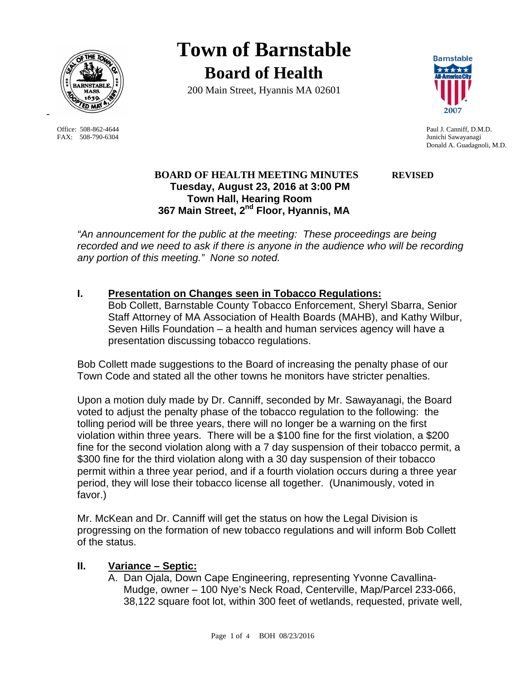

FAX: 508-790-6304 Junichi Sawayanagi

-

**Town of Barnstable Board of Health**

200 Main Street, Hyannis MA 02601



Office: 508-862-4644 Paul J. Canniff, D.M.D. Donald A. Guadagnoli, M.D.

# **BOARD OF HEALTH MEETING MINUTES REVISED Tuesday, August 23, 2016 at 3:00 PM Town Hall, Hearing Room 367 Main Street, 2nd Floor, Hyannis, MA**

*"An announcement for the public at the meeting: These proceedings are being*  recorded and we need to ask if there is anyone in the audience who will be recording *any portion of this meeting." None so noted.* 

# **I. Presentation on Changes seen in Tobacco Regulations:**

Bob Collett, Barnstable County Tobacco Enforcement, Sheryl Sbarra, Senior Staff Attorney of MA Association of Health Boards (MAHB), and Kathy Wilbur, Seven Hills Foundation – a health and human services agency will have a presentation discussing tobacco regulations.

Bob Collett made suggestions to the Board of increasing the penalty phase of our Town Code and stated all the other towns he monitors have stricter penalties.

Upon a motion duly made by Dr. Canniff, seconded by Mr. Sawayanagi, the Board voted to adjust the penalty phase of the tobacco regulation to the following: the tolling period will be three years, there will no longer be a warning on the first violation within three years. There will be a \$100 fine for the first violation, a \$200 fine for the second violation along with a 7 day suspension of their tobacco permit, a \$300 fine for the third violation along with a 30 day suspension of their tobacco permit within a three year period, and if a fourth violation occurs during a three year period, they will lose their tobacco license all together. (Unanimously, voted in favor.)

Mr. McKean and Dr. Canniff will get the status on how the Legal Division is progressing on the formation of new tobacco regulations and will inform Bob Collett of the status.

# **II. Variance – Septic:**

A. Dan Ojala, Down Cape Engineering, representing Yvonne Cavallina-Mudge, owner – 100 Nye's Neck Road, Centerville, Map/Parcel 233-066, 38,122 square foot lot, within 300 feet of wetlands, requested, private well,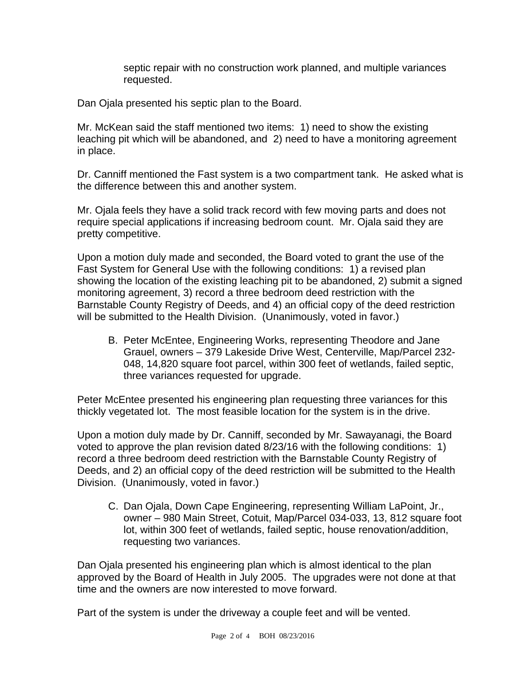septic repair with no construction work planned, and multiple variances requested.

Dan Ojala presented his septic plan to the Board.

Mr. McKean said the staff mentioned two items: 1) need to show the existing leaching pit which will be abandoned, and 2) need to have a monitoring agreement in place.

Dr. Canniff mentioned the Fast system is a two compartment tank. He asked what is the difference between this and another system.

Mr. Ojala feels they have a solid track record with few moving parts and does not require special applications if increasing bedroom count. Mr. Ojala said they are pretty competitive.

Upon a motion duly made and seconded, the Board voted to grant the use of the Fast System for General Use with the following conditions: 1) a revised plan showing the location of the existing leaching pit to be abandoned, 2) submit a signed monitoring agreement, 3) record a three bedroom deed restriction with the Barnstable County Registry of Deeds, and 4) an official copy of the deed restriction will be submitted to the Health Division. (Unanimously, voted in favor.)

B. Peter McEntee, Engineering Works, representing Theodore and Jane Grauel, owners – 379 Lakeside Drive West, Centerville, Map/Parcel 232- 048, 14,820 square foot parcel, within 300 feet of wetlands, failed septic, three variances requested for upgrade.

Peter McEntee presented his engineering plan requesting three variances for this thickly vegetated lot. The most feasible location for the system is in the drive.

Upon a motion duly made by Dr. Canniff, seconded by Mr. Sawayanagi, the Board voted to approve the plan revision dated 8/23/16 with the following conditions: 1) record a three bedroom deed restriction with the Barnstable County Registry of Deeds, and 2) an official copy of the deed restriction will be submitted to the Health Division. (Unanimously, voted in favor.)

C. Dan Ojala, Down Cape Engineering, representing William LaPoint, Jr., owner – 980 Main Street, Cotuit, Map/Parcel 034-033, 13, 812 square foot lot, within 300 feet of wetlands, failed septic, house renovation/addition, requesting two variances.

Dan Ojala presented his engineering plan which is almost identical to the plan approved by the Board of Health in July 2005. The upgrades were not done at that time and the owners are now interested to move forward.

Part of the system is under the driveway a couple feet and will be vented.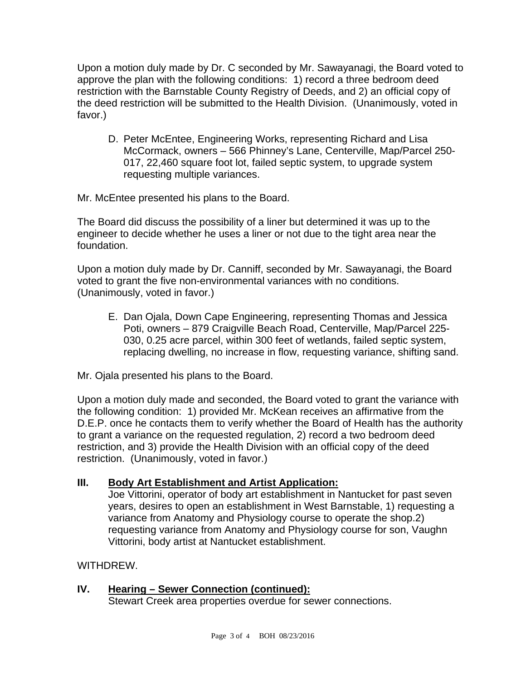Upon a motion duly made by Dr. C seconded by Mr. Sawayanagi, the Board voted to approve the plan with the following conditions: 1) record a three bedroom deed restriction with the Barnstable County Registry of Deeds, and 2) an official copy of the deed restriction will be submitted to the Health Division. (Unanimously, voted in favor.)

D. Peter McEntee, Engineering Works, representing Richard and Lisa McCormack, owners – 566 Phinney's Lane, Centerville, Map/Parcel 250- 017, 22,460 square foot lot, failed septic system, to upgrade system requesting multiple variances.

Mr. McEntee presented his plans to the Board.

The Board did discuss the possibility of a liner but determined it was up to the engineer to decide whether he uses a liner or not due to the tight area near the foundation.

Upon a motion duly made by Dr. Canniff, seconded by Mr. Sawayanagi, the Board voted to grant the five non-environmental variances with no conditions. (Unanimously, voted in favor.)

- E. Dan Ojala, Down Cape Engineering, representing Thomas and Jessica Poti, owners – 879 Craigville Beach Road, Centerville, Map/Parcel 225- 030, 0.25 acre parcel, within 300 feet of wetlands, failed septic system, replacing dwelling, no increase in flow, requesting variance, shifting sand.
- Mr. Ojala presented his plans to the Board.

Upon a motion duly made and seconded, the Board voted to grant the variance with the following condition: 1) provided Mr. McKean receives an affirmative from the D.E.P. once he contacts them to verify whether the Board of Health has the authority to grant a variance on the requested regulation, 2) record a two bedroom deed restriction, and 3) provide the Health Division with an official copy of the deed restriction. (Unanimously, voted in favor.)

# **III. Body Art Establishment and Artist Application:**

Joe Vittorini, operator of body art establishment in Nantucket for past seven years, desires to open an establishment in West Barnstable, 1) requesting a variance from Anatomy and Physiology course to operate the shop.2) requesting variance from Anatomy and Physiology course for son, Vaughn Vittorini, body artist at Nantucket establishment.

WITHDREW.

# **IV. Hearing – Sewer Connection (continued):**

Stewart Creek area properties overdue for sewer connections.